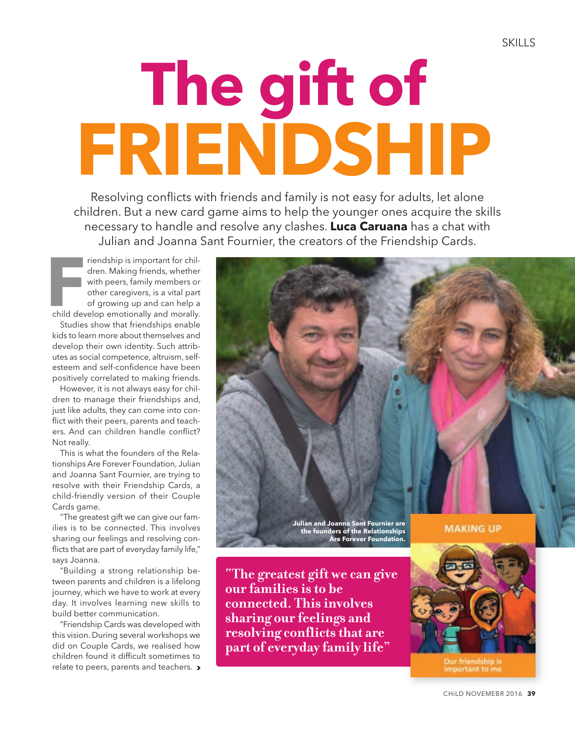## **The gift of FRIENDSHIP**

Resolving conflicts with friends and family is not easy for adults, let alone children. But a new card game aims to help the younger ones acquire the skills necessary to handle and resolve any clashes. **Luca Caruana** has a chat with Julian and Joanna Sant Fournier, the creators of the Friendship Cards.

Frendship is important for children. Making friends, whether<br>
with peers, family members or<br>
other caregivers, is a vital part<br>
of growing up and can help a<br>
child develop emotionally and morally. riendship is important for children. Making friends, whether with peers, family members or other caregivers, is a vital part of growing up and can help a

Studies show that friendships enable kids to learn more about themselves and develop their own identity. Such attributes as social competence, altruism, selfesteem and self-confidence have been positively correlated to making friends.

However, it is not always easy for children to manage their friendships and, just like adults, they can come into conflict with their peers, parents and teachers. And can children handle conflict? Not really.

This is what the founders of the Relationships Are Forever Foundation, Julian and Joanna Sant Fournier, are trying to resolve with their Friendship Cards, a child-friendly version of their Couple Cards game.

"The greatest gift we can give our families is to be connected. This involves sharing our feelings and resolving conflicts that are part of everyday family life," says Joanna.

"Building a strong relationship between parents and children is a lifelong journey, which we have to work at every day. It involves learning new skills to build better communication.

"Friendship Cards was developed with this vision. During several workshops we did on Couple Cards, we realised how children found it difficult sometimes to relate to peers, parents and teachers. >



**"The greatest gift we can give our families is to be connected. This involves sharing our feelings and resolving conflicts that are part of everyday family life"**



important to me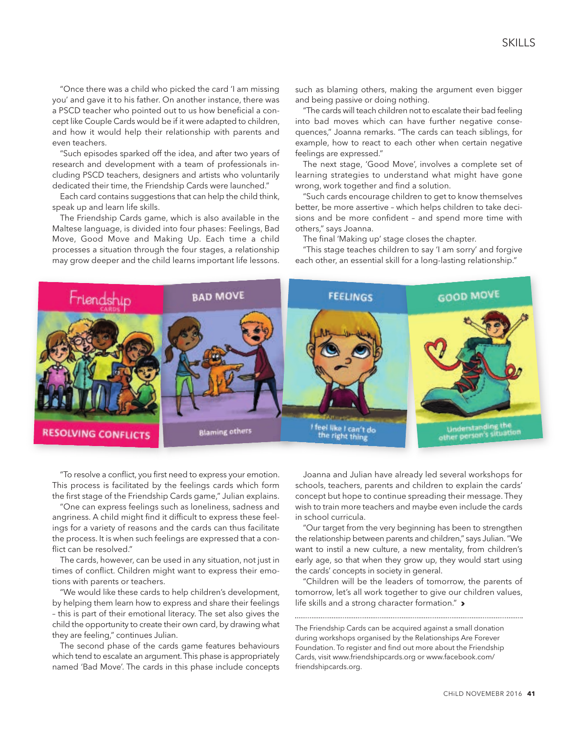"Once there was a child who picked the card 'I am missing you' and gave it to his father. On another instance, there was a PSCD teacher who pointed out to us how beneficial a concept like Couple Cards would be if it were adapted to children, and how it would help their relationship with parents and even teachers.

"Such episodes sparked off the idea, and after two years of research and development with a team of professionals including PSCD teachers, designers and artists who voluntarily dedicated their time, the Friendship Cards were launched."

Each card contains suggestions that can help the child think, speak up and learn life skills.

The Friendship Cards game, which is also available in the Maltese language, is divided into four phases: Feelings, Bad Move, Good Move and Making Up. Each time a child processes a situation through the four stages, a relationship may grow deeper and the child learns important life lessons. such as blaming others, making the argument even bigger and being passive or doing nothing.

"The cards will teach children not to escalate their bad feeling into bad moves which can have further negative consequences," Joanna remarks. "The cards can teach siblings, for example, how to react to each other when certain negative feelings are expressed."

The next stage, 'Good Move', involves a complete set of learning strategies to understand what might have gone wrong, work together and find a solution.

"Such cards encourage children to get to know themselves better, be more assertive – which helps children to take decisions and be more confident – and spend more time with others," says Joanna.

The final 'Making up' stage closes the chapter.

"This stage teaches children to say 'I am sorry' and forgive each other, an essential skill for a long-lasting relationship."



"To resolve a conflict, you first need to express your emotion. This process is facilitated by the feelings cards which form the first stage of the Friendship Cards game," Julian explains.

"One can express feelings such as loneliness, sadness and angriness. A child might find it difficult to express these feelings for a variety of reasons and the cards can thus facilitate the process. It is when such feelings are expressed that a conflict can be resolved."

The cards, however, can be used in any situation, not just in times of conflict. Children might want to express their emotions with parents or teachers.

"We would like these cards to help children's development, by helping them learn how to express and share their feelings – this is part of their emotional literacy. The set also gives the child the opportunity to create their own card, by drawing what they are feeling," continues Julian.

The second phase of the cards game features behaviours which tend to escalate an argument. This phase is appropriately named 'Bad Move'. The cards in this phase include concepts

Joanna and Julian have already led several workshops for schools, teachers, parents and children to explain the cards' concept but hope to continue spreading their message. They wish to train more teachers and maybe even include the cards in school curricula.

"Our target from the very beginning has been to strengthen the relationship between parents and children," says Julian. "We want to instil a new culture, a new mentality, from children's early age, so that when they grow up, they would start using the cards' concepts in society in general.

"Children will be the leaders of tomorrow, the parents of tomorrow, let's all work together to give our children values, life skills and a strong character formation." >

The Friendship Cards can be acquired against a small donation during workshops organised by the Relationships Are Forever Foundation. To register and find out more about the Friendship Cards, visit www.friendshipcards.org or www.facebook.com/ friendshipcards.org.